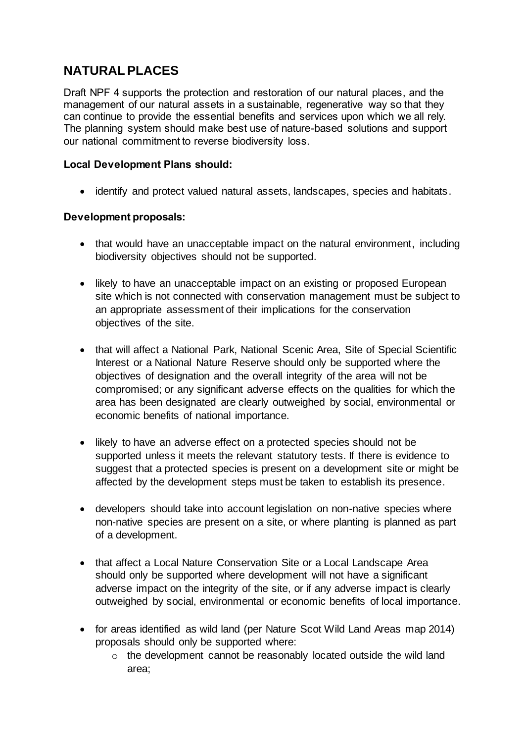# **NATURALPLACES**

Draft NPF 4 supports the protection and restoration of our natural places, and the management of our natural assets in a sustainable, regenerative way so that they can continue to provide the essential benefits and services upon which we all rely. The planning system should make best use of nature-based solutions and support our national commitment to reverse biodiversity loss.

## **Local Development Plans should:**

identify and protect valued natural assets, landscapes, species and habitats.

## **Development proposals:**

- that would have an unacceptable impact on the natural environment, including biodiversity objectives should not be supported.
- likely to have an unacceptable impact on an existing or proposed European site which is not connected with conservation management must be subject to an appropriate assessment of their implications for the conservation objectives of the site.
- that will affect a National Park, National Scenic Area, Site of Special Scientific Interest or a National Nature Reserve should only be supported where the objectives of designation and the overall integrity of the area will not be compromised; or any significant adverse effects on the qualities for which the area has been designated are clearly outweighed by social, environmental or economic benefits of national importance.
- likely to have an adverse effect on a protected species should not be supported unless it meets the relevant statutory tests. If there is evidence to suggest that a protected species is present on a development site or might be affected by the development steps must be taken to establish its presence.
- developers should take into account legislation on non-native species where non-native species are present on a site, or where planting is planned as part of a development.
- that affect a Local Nature Conservation Site or a Local Landscape Area should only be supported where development will not have a significant adverse impact on the integrity of the site, or if any adverse impact is clearly outweighed by social, environmental or economic benefits of local importance.
- for areas identified as wild land (per Nature Scot Wild Land Areas map 2014) proposals should only be supported where:
	- o the development cannot be reasonably located outside the wild land area;